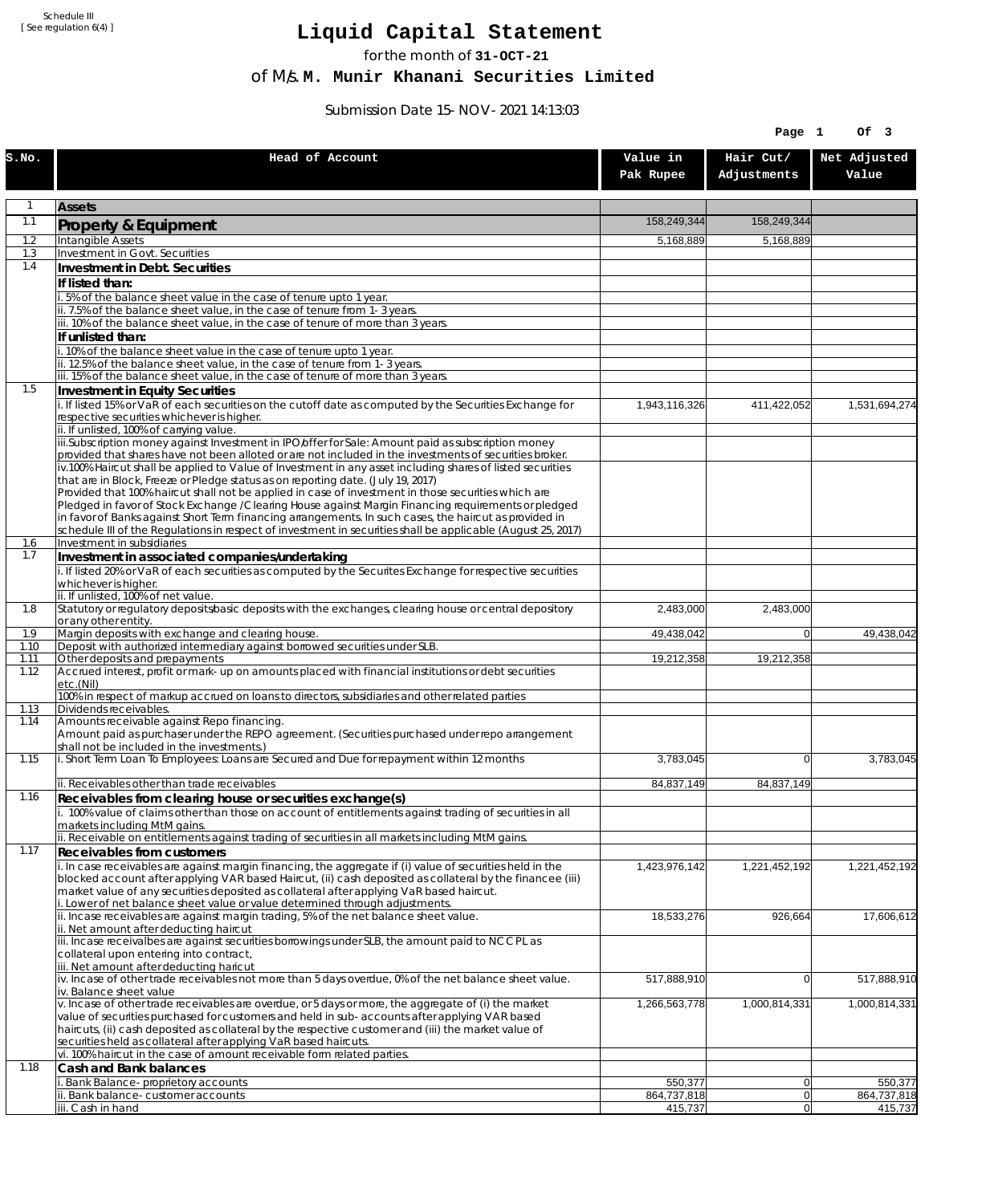Schedule III [ See regulation 6(4) ]

## **Liquid Capital Statement**

for the month of **31-OCT-21**

of M/s. **M. Munir Khanani Securities Limited**

Submission Date 15-NOV-2021 14:13:03

|              |                                                                                                                                                                                                                                      |                        | Page 1                   | Of 3                   |
|--------------|--------------------------------------------------------------------------------------------------------------------------------------------------------------------------------------------------------------------------------------|------------------------|--------------------------|------------------------|
| s.no.        | Head of Account                                                                                                                                                                                                                      | Value in<br>Pak Rupee  | Hair Cut/<br>Adjustments | Net Adjusted<br>Value  |
| $\mathbf{1}$ | <b>Assets</b>                                                                                                                                                                                                                        |                        |                          |                        |
| 1.1          | <b>Property &amp; Equipment</b>                                                                                                                                                                                                      | 158,249,344            | 158,249,344              |                        |
| 1.2<br>1.3   | Intangible Assets<br>Investment in Govt. Securities                                                                                                                                                                                  | 5,168,889              | 5,168,889                |                        |
| 1.4          | Investment in Debt. Securities                                                                                                                                                                                                       |                        |                          |                        |
|              | If listed than:                                                                                                                                                                                                                      |                        |                          |                        |
|              | i. 5% of the balance sheet value in the case of tenure upto 1 year.                                                                                                                                                                  |                        |                          |                        |
|              | ii. 7.5% of the balance sheet value, in the case of tenure from 1-3 years.<br>iii. 10% of the balance sheet value, in the case of tenure of more than 3 years.                                                                       |                        |                          |                        |
|              | If unlisted than:                                                                                                                                                                                                                    |                        |                          |                        |
|              | i. 10% of the balance sheet value in the case of tenure upto 1 year.                                                                                                                                                                 |                        |                          |                        |
|              | ii. 12.5% of the balance sheet value, in the case of tenure from 1-3 years.<br>iii. 15% of the balance sheet value, in the case of tenure of more than 3 years.                                                                      |                        |                          |                        |
| 1.5          | Investment in Equity Securities                                                                                                                                                                                                      |                        |                          |                        |
|              | i. If listed 15% or VaR of each securities on the cutoff date as computed by the Securities Exchange for                                                                                                                             | 1,943,116,326          | 411,422,052              | 1,531,694,274          |
|              | respective securities whichever is higher.<br>ii. If unlisted, 100% of carrying value.                                                                                                                                               |                        |                          |                        |
|              | iii.Subscription money against Investment in IPO/offer for Sale: Amount paid as subscription money                                                                                                                                   |                        |                          |                        |
|              | provided that shares have not been alloted or are not included in the investments of securities broker.<br>iv.100% Haircut shall be applied to Value of Investment in any asset including shares of listed securities                |                        |                          |                        |
|              | that are in Block, Freeze or Pledge status as on reporting date. (July 19, 2017)                                                                                                                                                     |                        |                          |                        |
|              | Provided that 100% haircut shall not be applied in case of investment in those securities which are<br>Pledged in favor of Stock Exchange / Clearing House against Margin Financing requirements or pledged                          |                        |                          |                        |
|              | in favor of Banks against Short Term financing arrangements. In such cases, the haircut as provided in                                                                                                                               |                        |                          |                        |
| 1.6          | schedule III of the Regulations in respect of investment in securities shall be applicable (August 25, 2017)<br>Investment in subsidiaries                                                                                           |                        |                          |                        |
| 1.7          | Investment in associated companies/undertaking                                                                                                                                                                                       |                        |                          |                        |
|              | i. If listed 20% or VaR of each securities as computed by the Securites Exchange for respective securities                                                                                                                           |                        |                          |                        |
|              | whichever is higher.<br>ii. If unlisted, 100% of net value.                                                                                                                                                                          |                        |                          |                        |
| 1.8          | Statutory or regulatory deposits/basic deposits with the exchanges, clearing house or central depository                                                                                                                             | 2,483,000              | 2,483,000                |                        |
| 1.9          | or any other entity.<br>Margin deposits with exchange and clearing house.                                                                                                                                                            | 49,438,042             | $\overline{0}$           | 49,438,042             |
| 1.10         | Deposit with authorized intermediary against borrowed securities under SLB.                                                                                                                                                          |                        |                          |                        |
| 1.11<br>1.12 | Other deposits and prepayments<br>Accrued interest, profit or mark-up on amounts placed with financial institutions or debt securities                                                                                               | 19,212,358             | 19,212,358               |                        |
|              | etc.(Nil)                                                                                                                                                                                                                            |                        |                          |                        |
| 1.13         | 100% in respect of markup accrued on loans to directors, subsidiaries and other related parties<br>Dividends receivables.                                                                                                            |                        |                          |                        |
| 1.14         | Amounts receivable against Repo financing.                                                                                                                                                                                           |                        |                          |                        |
|              | Amount paid as purchaser under the REPO agreement. (Securities purchased under repo arrangement<br>shall not be included in the investments.)                                                                                        |                        |                          |                        |
| 1.15         | i. Short Term Loan To Employees: Loans are Secured and Due for repayment within 12 months                                                                                                                                            | 3,783,045              | $\Omega$                 | 3,783,045              |
|              | ii. Receivables other than trade receivables                                                                                                                                                                                         | 84,837,149             | 84,837,149               |                        |
| 1.16         | Receivables from clearing house or securities exchange(s)                                                                                                                                                                            |                        |                          |                        |
|              | i. 100% value of claims other than those on account of entitlements against trading of securities in all                                                                                                                             |                        |                          |                        |
|              | markets including MtM gains.<br>ii. Receivable on entitlements against trading of securities in all markets including MtM gains.                                                                                                     |                        |                          |                        |
| 1.17         | <b>Receivables from customers</b>                                                                                                                                                                                                    |                        |                          |                        |
|              | $\overline{1}$ . In case receivables are against margin financing, the aggregate if (i) value of securities held in the<br>blocked account after applying VAR based Haircut, (ii) cash deposited as collateral by the financee (iii) | 1,423,976,142          | 1,221,452,192            | 1,221,452,192          |
|              | market value of any securities deposited as collateral after applying VaR based haircut.                                                                                                                                             |                        |                          |                        |
|              | i. Lower of net balance sheet value or value determined through adjustments.                                                                                                                                                         |                        |                          |                        |
|              | ii. Incase receivables are against margin trading, 5% of the net balance sheet value.<br>ii. Net amount after deducting haircut                                                                                                      | 18,533,276             | 926,664                  | 17,606,612             |
|              | iii. Incase receivalbes are against securities borrowings under SLB, the amount paid to NCCPL as                                                                                                                                     |                        |                          |                        |
|              | collateral upon entering into contract,<br>iii. Net amount after deducting haricut                                                                                                                                                   |                        |                          |                        |
|              | $\dot{v}$ . Incase of other trade receivables not more than 5 days overdue, 0% of the net balance sheet value.                                                                                                                       | 517,888,910            | $\overline{0}$           | 517,888,910            |
|              | iv. Balance sheet value<br>v. Incase of other trade receivables are overdue, or 5 days or more, the aggregate of (i) the market                                                                                                      | 1,266,563,778          | 1,000,814,331            | 1,000,814,331          |
|              | value of securities purchased for customers and held in sub-accounts after applying VAR based                                                                                                                                        |                        |                          |                        |
|              | haircuts, (ii) cash deposited as collateral by the respective customer and (iii) the market value of<br>securities held as collateral after applying VaR based haircuts.                                                             |                        |                          |                        |
|              | vi. 100% haircut in the case of amount receivable form related parties.                                                                                                                                                              |                        |                          |                        |
| 1.18         | Cash and Bank balances                                                                                                                                                                                                               |                        |                          |                        |
|              | i. Bank Balance-proprietory accounts<br>ii. Bank balance-customer accounts                                                                                                                                                           | 550,377<br>864,737,818 | 0 <br> 0                 | 550,377<br>864,737,818 |
|              | iii. Cash in hand                                                                                                                                                                                                                    | 415,737                | 0                        | 415,737                |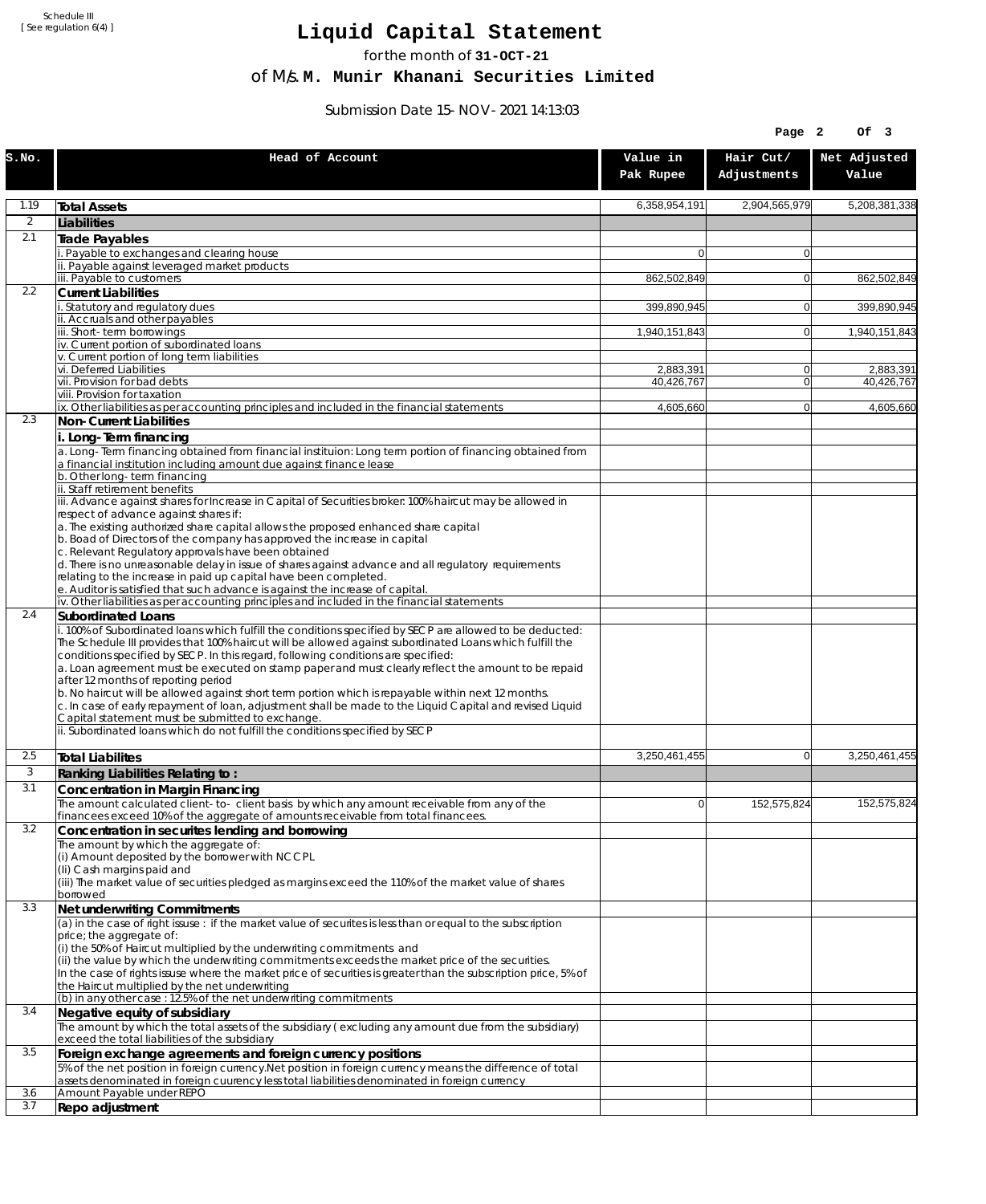Schedule III [ See regulation 6(4) ]

## **Liquid Capital Statement**

for the month of **31-OCT-21**

of M/s. **M. Munir Khanani Securities Limited**

Submission Date 15-NOV-2021 14:13:03

| Hair Cut/<br>Net Adjusted<br>Head of Account<br>Value in<br>Adjustments<br>Value<br>Pak Rupee<br>1.19<br>6,358,954,191<br>2,904,565,979<br>5,208,381,338<br><b>Total Assets</b><br>$\overline{2}$<br>Liabilities<br>2.1<br>Trade Payables<br>Payable to exchanges and clearing house<br>0<br>0<br>ii. Payable against leveraged market products<br>iii. Payable to customers<br>862,502,849<br>862,502,849<br>$\mathbf{0}$<br>2.2<br><b>Current Liabilities</b><br>Statutory and regulatory dues<br>399,890,945<br>399.890.945<br>$\mathbf{0}$<br>ii. Accruals and other payables<br>ii. Short-term borrowings<br>1,940,151,843<br>$\mathbf{0}$<br>1,940,151,843<br>iv. Current portion of subordinated loans<br>v. Current portion of long term liabilities<br>vi. Deferred Liabilities<br>2,883,391<br>0<br>2,883,391<br>vii. Provision for bad debts<br>40,426,767<br>$\overline{0}$<br>40,426,767<br>viii. Provision for taxation<br>ix. Other liabilities as per accounting principles and included in the financial statements<br>4,605,660<br>4,605,660<br>$\overline{0}$<br>2.3<br>Non-Current Liabilities<br>i. Long-Term financing<br>a. Long-Term financing obtained from financial instituion: Long term portion of financing obtained from<br>a financial institution including amount due against finance lease<br>b. Other long-term financing<br>ii. Staff retirement benefits<br>iii. Advance against shares for Increase in Capital of Securities broker: 100% haircut may be allowed in<br>respect of advance against shares if:<br>a. The existing authorized share capital allows the proposed enhanced share capital<br>b. Boad of Directors of the company has approved the increase in capital<br>c. Relevant Regulatory approvals have been obtained<br>d. There is no unreasonable delay in issue of shares against advance and all regulatory requirements<br>relating to the increase in paid up capital have been completed.<br>e. Auditor is satisfied that such advance is against the increase of capital.<br>iv. Other liabilities as per accounting principles and included in the financial statements<br>2.4<br>Subordinated Loans<br>. 100% of Subordinated loans which fulfill the conditions specified by SECP are allowed to be deducted:<br>The Schedule III provides that 100% haircut will be allowed against subordinated Loans which fulfill the<br>conditions specified by SECP. In this regard, following conditions are specified:<br>a. Loan agreement must be executed on stamp paper and must clearly reflect the amount to be repaid<br>after 12 months of reporting period<br>b. No haircut will be allowed against short term portion which is repayable within next 12 months.<br>c. In case of early repayment of loan, adjustment shall be made to the Liquid Capital and revised Liquid<br>Capital statement must be submitted to exchange.<br>ii. Subordinated loans which do not fulfill the conditions specified by SECP<br>3,250,461,455<br>2.5<br>3,250,461,455<br>$\mathbf{0}$<br><b>Total Liabilites</b><br>3<br>Ranking Liabilities Relating to:<br>3.1<br>Concentration in Margin Financing<br>152,575,824<br>152,575,824<br>The amount calculated client-to- client basis by which any amount receivable from any of the<br>ΩI<br>financees exceed 10% of the aggregate of amounts receivable from total financees.<br>3.2<br>Concentration in securites lending and borrowing<br>The amount by which the aggregate of:<br>(i) Amount deposited by the borrower with NCCPL<br>(Ii) Cash margins paid and<br>(iii) The market value of securities pledged as margins exceed the 110% of the market value of shares<br>borrowed<br>3.3<br>Net underwriting Commitments<br>(a) in the case of right issuse: if the market value of securites is less than or equal to the subscription<br>price; the aggregate of:<br>(i) the 50% of Haircut multiplied by the underwriting commitments and<br>(ii) the value by which the underwriting commitments exceeds the market price of the securities.<br>In the case of rights issuse where the market price of securities is greater than the subscription price, 5% of<br>the Haircut multiplied by the net underwriting<br>(b) in any other case: 12.5% of the net underwriting commitments<br>3.4<br>Negative equity of subsidiary<br>The amount by which the total assets of the subsidiary (excluding any amount due from the subsidiary)<br>exceed the total liabilities of the subsidiary<br>3.5<br>Foreign exchange agreements and foreign currency positions<br>5% of the net position in foreign currency. Net position in foreign currency means the difference of total<br>assets denominated in foreign cuurency less total liabilities denominated in foreign currency<br>3.6<br>Amount Payable under REPO<br>3.7<br>Repo adjustment |       |  | Page 2 | Of 3 |
|----------------------------------------------------------------------------------------------------------------------------------------------------------------------------------------------------------------------------------------------------------------------------------------------------------------------------------------------------------------------------------------------------------------------------------------------------------------------------------------------------------------------------------------------------------------------------------------------------------------------------------------------------------------------------------------------------------------------------------------------------------------------------------------------------------------------------------------------------------------------------------------------------------------------------------------------------------------------------------------------------------------------------------------------------------------------------------------------------------------------------------------------------------------------------------------------------------------------------------------------------------------------------------------------------------------------------------------------------------------------------------------------------------------------------------------------------------------------------------------------------------------------------------------------------------------------------------------------------------------------------------------------------------------------------------------------------------------------------------------------------------------------------------------------------------------------------------------------------------------------------------------------------------------------------------------------------------------------------------------------------------------------------------------------------------------------------------------------------------------------------------------------------------------------------------------------------------------------------------------------------------------------------------------------------------------------------------------------------------------------------------------------------------------------------------------------------------------------------------------------------------------------------------------------------------------------------------------------------------------------------------------------------------------------------------------------------------------------------------------------------------------------------------------------------------------------------------------------------------------------------------------------------------------------------------------------------------------------------------------------------------------------------------------------------------------------------------------------------------------------------------------------------------------------------------------------------------------------------------------------------------------------------------------------------------------------------------------------------------------------------------------------------------------------------------------------------------------------------------------------------------------------------------------------------------------------------------------------------------------------------------------------------------------------------------------------------------------------------------------------------------------------------------------------------------------------------------------------------------------------------------------------------------------------------------------------------------------------------------------------------------------------------------------------------------------------------------------------------------------------------------------------------------------------------------------------------------------------------------------------------------------------------------------------------------------------------------------------------------------------------------------------------------------------------------------------------------------------------------------------------------------------------------------------------------------------------------------------------------------------------------------------------------------------------------------------------------------------------------------------------------------------------------------------------------------------------------------------------------------|-------|--|--------|------|
|                                                                                                                                                                                                                                                                                                                                                                                                                                                                                                                                                                                                                                                                                                                                                                                                                                                                                                                                                                                                                                                                                                                                                                                                                                                                                                                                                                                                                                                                                                                                                                                                                                                                                                                                                                                                                                                                                                                                                                                                                                                                                                                                                                                                                                                                                                                                                                                                                                                                                                                                                                                                                                                                                                                                                                                                                                                                                                                                                                                                                                                                                                                                                                                                                                                                                                                                                                                                                                                                                                                                                                                                                                                                                                                                                                                                                                                                                                                                                                                                                                                                                                                                                                                                                                                                                                                                                                                                                                                                                                                                                                                                                                                                                                                                                                                                                                                                | S.NO. |  |        |      |
|                                                                                                                                                                                                                                                                                                                                                                                                                                                                                                                                                                                                                                                                                                                                                                                                                                                                                                                                                                                                                                                                                                                                                                                                                                                                                                                                                                                                                                                                                                                                                                                                                                                                                                                                                                                                                                                                                                                                                                                                                                                                                                                                                                                                                                                                                                                                                                                                                                                                                                                                                                                                                                                                                                                                                                                                                                                                                                                                                                                                                                                                                                                                                                                                                                                                                                                                                                                                                                                                                                                                                                                                                                                                                                                                                                                                                                                                                                                                                                                                                                                                                                                                                                                                                                                                                                                                                                                                                                                                                                                                                                                                                                                                                                                                                                                                                                                                |       |  |        |      |
|                                                                                                                                                                                                                                                                                                                                                                                                                                                                                                                                                                                                                                                                                                                                                                                                                                                                                                                                                                                                                                                                                                                                                                                                                                                                                                                                                                                                                                                                                                                                                                                                                                                                                                                                                                                                                                                                                                                                                                                                                                                                                                                                                                                                                                                                                                                                                                                                                                                                                                                                                                                                                                                                                                                                                                                                                                                                                                                                                                                                                                                                                                                                                                                                                                                                                                                                                                                                                                                                                                                                                                                                                                                                                                                                                                                                                                                                                                                                                                                                                                                                                                                                                                                                                                                                                                                                                                                                                                                                                                                                                                                                                                                                                                                                                                                                                                                                |       |  |        |      |
|                                                                                                                                                                                                                                                                                                                                                                                                                                                                                                                                                                                                                                                                                                                                                                                                                                                                                                                                                                                                                                                                                                                                                                                                                                                                                                                                                                                                                                                                                                                                                                                                                                                                                                                                                                                                                                                                                                                                                                                                                                                                                                                                                                                                                                                                                                                                                                                                                                                                                                                                                                                                                                                                                                                                                                                                                                                                                                                                                                                                                                                                                                                                                                                                                                                                                                                                                                                                                                                                                                                                                                                                                                                                                                                                                                                                                                                                                                                                                                                                                                                                                                                                                                                                                                                                                                                                                                                                                                                                                                                                                                                                                                                                                                                                                                                                                                                                |       |  |        |      |
|                                                                                                                                                                                                                                                                                                                                                                                                                                                                                                                                                                                                                                                                                                                                                                                                                                                                                                                                                                                                                                                                                                                                                                                                                                                                                                                                                                                                                                                                                                                                                                                                                                                                                                                                                                                                                                                                                                                                                                                                                                                                                                                                                                                                                                                                                                                                                                                                                                                                                                                                                                                                                                                                                                                                                                                                                                                                                                                                                                                                                                                                                                                                                                                                                                                                                                                                                                                                                                                                                                                                                                                                                                                                                                                                                                                                                                                                                                                                                                                                                                                                                                                                                                                                                                                                                                                                                                                                                                                                                                                                                                                                                                                                                                                                                                                                                                                                |       |  |        |      |
|                                                                                                                                                                                                                                                                                                                                                                                                                                                                                                                                                                                                                                                                                                                                                                                                                                                                                                                                                                                                                                                                                                                                                                                                                                                                                                                                                                                                                                                                                                                                                                                                                                                                                                                                                                                                                                                                                                                                                                                                                                                                                                                                                                                                                                                                                                                                                                                                                                                                                                                                                                                                                                                                                                                                                                                                                                                                                                                                                                                                                                                                                                                                                                                                                                                                                                                                                                                                                                                                                                                                                                                                                                                                                                                                                                                                                                                                                                                                                                                                                                                                                                                                                                                                                                                                                                                                                                                                                                                                                                                                                                                                                                                                                                                                                                                                                                                                |       |  |        |      |
|                                                                                                                                                                                                                                                                                                                                                                                                                                                                                                                                                                                                                                                                                                                                                                                                                                                                                                                                                                                                                                                                                                                                                                                                                                                                                                                                                                                                                                                                                                                                                                                                                                                                                                                                                                                                                                                                                                                                                                                                                                                                                                                                                                                                                                                                                                                                                                                                                                                                                                                                                                                                                                                                                                                                                                                                                                                                                                                                                                                                                                                                                                                                                                                                                                                                                                                                                                                                                                                                                                                                                                                                                                                                                                                                                                                                                                                                                                                                                                                                                                                                                                                                                                                                                                                                                                                                                                                                                                                                                                                                                                                                                                                                                                                                                                                                                                                                |       |  |        |      |
|                                                                                                                                                                                                                                                                                                                                                                                                                                                                                                                                                                                                                                                                                                                                                                                                                                                                                                                                                                                                                                                                                                                                                                                                                                                                                                                                                                                                                                                                                                                                                                                                                                                                                                                                                                                                                                                                                                                                                                                                                                                                                                                                                                                                                                                                                                                                                                                                                                                                                                                                                                                                                                                                                                                                                                                                                                                                                                                                                                                                                                                                                                                                                                                                                                                                                                                                                                                                                                                                                                                                                                                                                                                                                                                                                                                                                                                                                                                                                                                                                                                                                                                                                                                                                                                                                                                                                                                                                                                                                                                                                                                                                                                                                                                                                                                                                                                                |       |  |        |      |
|                                                                                                                                                                                                                                                                                                                                                                                                                                                                                                                                                                                                                                                                                                                                                                                                                                                                                                                                                                                                                                                                                                                                                                                                                                                                                                                                                                                                                                                                                                                                                                                                                                                                                                                                                                                                                                                                                                                                                                                                                                                                                                                                                                                                                                                                                                                                                                                                                                                                                                                                                                                                                                                                                                                                                                                                                                                                                                                                                                                                                                                                                                                                                                                                                                                                                                                                                                                                                                                                                                                                                                                                                                                                                                                                                                                                                                                                                                                                                                                                                                                                                                                                                                                                                                                                                                                                                                                                                                                                                                                                                                                                                                                                                                                                                                                                                                                                |       |  |        |      |
|                                                                                                                                                                                                                                                                                                                                                                                                                                                                                                                                                                                                                                                                                                                                                                                                                                                                                                                                                                                                                                                                                                                                                                                                                                                                                                                                                                                                                                                                                                                                                                                                                                                                                                                                                                                                                                                                                                                                                                                                                                                                                                                                                                                                                                                                                                                                                                                                                                                                                                                                                                                                                                                                                                                                                                                                                                                                                                                                                                                                                                                                                                                                                                                                                                                                                                                                                                                                                                                                                                                                                                                                                                                                                                                                                                                                                                                                                                                                                                                                                                                                                                                                                                                                                                                                                                                                                                                                                                                                                                                                                                                                                                                                                                                                                                                                                                                                |       |  |        |      |
|                                                                                                                                                                                                                                                                                                                                                                                                                                                                                                                                                                                                                                                                                                                                                                                                                                                                                                                                                                                                                                                                                                                                                                                                                                                                                                                                                                                                                                                                                                                                                                                                                                                                                                                                                                                                                                                                                                                                                                                                                                                                                                                                                                                                                                                                                                                                                                                                                                                                                                                                                                                                                                                                                                                                                                                                                                                                                                                                                                                                                                                                                                                                                                                                                                                                                                                                                                                                                                                                                                                                                                                                                                                                                                                                                                                                                                                                                                                                                                                                                                                                                                                                                                                                                                                                                                                                                                                                                                                                                                                                                                                                                                                                                                                                                                                                                                                                |       |  |        |      |
|                                                                                                                                                                                                                                                                                                                                                                                                                                                                                                                                                                                                                                                                                                                                                                                                                                                                                                                                                                                                                                                                                                                                                                                                                                                                                                                                                                                                                                                                                                                                                                                                                                                                                                                                                                                                                                                                                                                                                                                                                                                                                                                                                                                                                                                                                                                                                                                                                                                                                                                                                                                                                                                                                                                                                                                                                                                                                                                                                                                                                                                                                                                                                                                                                                                                                                                                                                                                                                                                                                                                                                                                                                                                                                                                                                                                                                                                                                                                                                                                                                                                                                                                                                                                                                                                                                                                                                                                                                                                                                                                                                                                                                                                                                                                                                                                                                                                |       |  |        |      |
|                                                                                                                                                                                                                                                                                                                                                                                                                                                                                                                                                                                                                                                                                                                                                                                                                                                                                                                                                                                                                                                                                                                                                                                                                                                                                                                                                                                                                                                                                                                                                                                                                                                                                                                                                                                                                                                                                                                                                                                                                                                                                                                                                                                                                                                                                                                                                                                                                                                                                                                                                                                                                                                                                                                                                                                                                                                                                                                                                                                                                                                                                                                                                                                                                                                                                                                                                                                                                                                                                                                                                                                                                                                                                                                                                                                                                                                                                                                                                                                                                                                                                                                                                                                                                                                                                                                                                                                                                                                                                                                                                                                                                                                                                                                                                                                                                                                                |       |  |        |      |
|                                                                                                                                                                                                                                                                                                                                                                                                                                                                                                                                                                                                                                                                                                                                                                                                                                                                                                                                                                                                                                                                                                                                                                                                                                                                                                                                                                                                                                                                                                                                                                                                                                                                                                                                                                                                                                                                                                                                                                                                                                                                                                                                                                                                                                                                                                                                                                                                                                                                                                                                                                                                                                                                                                                                                                                                                                                                                                                                                                                                                                                                                                                                                                                                                                                                                                                                                                                                                                                                                                                                                                                                                                                                                                                                                                                                                                                                                                                                                                                                                                                                                                                                                                                                                                                                                                                                                                                                                                                                                                                                                                                                                                                                                                                                                                                                                                                                |       |  |        |      |
|                                                                                                                                                                                                                                                                                                                                                                                                                                                                                                                                                                                                                                                                                                                                                                                                                                                                                                                                                                                                                                                                                                                                                                                                                                                                                                                                                                                                                                                                                                                                                                                                                                                                                                                                                                                                                                                                                                                                                                                                                                                                                                                                                                                                                                                                                                                                                                                                                                                                                                                                                                                                                                                                                                                                                                                                                                                                                                                                                                                                                                                                                                                                                                                                                                                                                                                                                                                                                                                                                                                                                                                                                                                                                                                                                                                                                                                                                                                                                                                                                                                                                                                                                                                                                                                                                                                                                                                                                                                                                                                                                                                                                                                                                                                                                                                                                                                                |       |  |        |      |
|                                                                                                                                                                                                                                                                                                                                                                                                                                                                                                                                                                                                                                                                                                                                                                                                                                                                                                                                                                                                                                                                                                                                                                                                                                                                                                                                                                                                                                                                                                                                                                                                                                                                                                                                                                                                                                                                                                                                                                                                                                                                                                                                                                                                                                                                                                                                                                                                                                                                                                                                                                                                                                                                                                                                                                                                                                                                                                                                                                                                                                                                                                                                                                                                                                                                                                                                                                                                                                                                                                                                                                                                                                                                                                                                                                                                                                                                                                                                                                                                                                                                                                                                                                                                                                                                                                                                                                                                                                                                                                                                                                                                                                                                                                                                                                                                                                                                |       |  |        |      |
|                                                                                                                                                                                                                                                                                                                                                                                                                                                                                                                                                                                                                                                                                                                                                                                                                                                                                                                                                                                                                                                                                                                                                                                                                                                                                                                                                                                                                                                                                                                                                                                                                                                                                                                                                                                                                                                                                                                                                                                                                                                                                                                                                                                                                                                                                                                                                                                                                                                                                                                                                                                                                                                                                                                                                                                                                                                                                                                                                                                                                                                                                                                                                                                                                                                                                                                                                                                                                                                                                                                                                                                                                                                                                                                                                                                                                                                                                                                                                                                                                                                                                                                                                                                                                                                                                                                                                                                                                                                                                                                                                                                                                                                                                                                                                                                                                                                                |       |  |        |      |
|                                                                                                                                                                                                                                                                                                                                                                                                                                                                                                                                                                                                                                                                                                                                                                                                                                                                                                                                                                                                                                                                                                                                                                                                                                                                                                                                                                                                                                                                                                                                                                                                                                                                                                                                                                                                                                                                                                                                                                                                                                                                                                                                                                                                                                                                                                                                                                                                                                                                                                                                                                                                                                                                                                                                                                                                                                                                                                                                                                                                                                                                                                                                                                                                                                                                                                                                                                                                                                                                                                                                                                                                                                                                                                                                                                                                                                                                                                                                                                                                                                                                                                                                                                                                                                                                                                                                                                                                                                                                                                                                                                                                                                                                                                                                                                                                                                                                |       |  |        |      |
|                                                                                                                                                                                                                                                                                                                                                                                                                                                                                                                                                                                                                                                                                                                                                                                                                                                                                                                                                                                                                                                                                                                                                                                                                                                                                                                                                                                                                                                                                                                                                                                                                                                                                                                                                                                                                                                                                                                                                                                                                                                                                                                                                                                                                                                                                                                                                                                                                                                                                                                                                                                                                                                                                                                                                                                                                                                                                                                                                                                                                                                                                                                                                                                                                                                                                                                                                                                                                                                                                                                                                                                                                                                                                                                                                                                                                                                                                                                                                                                                                                                                                                                                                                                                                                                                                                                                                                                                                                                                                                                                                                                                                                                                                                                                                                                                                                                                |       |  |        |      |
|                                                                                                                                                                                                                                                                                                                                                                                                                                                                                                                                                                                                                                                                                                                                                                                                                                                                                                                                                                                                                                                                                                                                                                                                                                                                                                                                                                                                                                                                                                                                                                                                                                                                                                                                                                                                                                                                                                                                                                                                                                                                                                                                                                                                                                                                                                                                                                                                                                                                                                                                                                                                                                                                                                                                                                                                                                                                                                                                                                                                                                                                                                                                                                                                                                                                                                                                                                                                                                                                                                                                                                                                                                                                                                                                                                                                                                                                                                                                                                                                                                                                                                                                                                                                                                                                                                                                                                                                                                                                                                                                                                                                                                                                                                                                                                                                                                                                |       |  |        |      |
|                                                                                                                                                                                                                                                                                                                                                                                                                                                                                                                                                                                                                                                                                                                                                                                                                                                                                                                                                                                                                                                                                                                                                                                                                                                                                                                                                                                                                                                                                                                                                                                                                                                                                                                                                                                                                                                                                                                                                                                                                                                                                                                                                                                                                                                                                                                                                                                                                                                                                                                                                                                                                                                                                                                                                                                                                                                                                                                                                                                                                                                                                                                                                                                                                                                                                                                                                                                                                                                                                                                                                                                                                                                                                                                                                                                                                                                                                                                                                                                                                                                                                                                                                                                                                                                                                                                                                                                                                                                                                                                                                                                                                                                                                                                                                                                                                                                                |       |  |        |      |
|                                                                                                                                                                                                                                                                                                                                                                                                                                                                                                                                                                                                                                                                                                                                                                                                                                                                                                                                                                                                                                                                                                                                                                                                                                                                                                                                                                                                                                                                                                                                                                                                                                                                                                                                                                                                                                                                                                                                                                                                                                                                                                                                                                                                                                                                                                                                                                                                                                                                                                                                                                                                                                                                                                                                                                                                                                                                                                                                                                                                                                                                                                                                                                                                                                                                                                                                                                                                                                                                                                                                                                                                                                                                                                                                                                                                                                                                                                                                                                                                                                                                                                                                                                                                                                                                                                                                                                                                                                                                                                                                                                                                                                                                                                                                                                                                                                                                |       |  |        |      |
|                                                                                                                                                                                                                                                                                                                                                                                                                                                                                                                                                                                                                                                                                                                                                                                                                                                                                                                                                                                                                                                                                                                                                                                                                                                                                                                                                                                                                                                                                                                                                                                                                                                                                                                                                                                                                                                                                                                                                                                                                                                                                                                                                                                                                                                                                                                                                                                                                                                                                                                                                                                                                                                                                                                                                                                                                                                                                                                                                                                                                                                                                                                                                                                                                                                                                                                                                                                                                                                                                                                                                                                                                                                                                                                                                                                                                                                                                                                                                                                                                                                                                                                                                                                                                                                                                                                                                                                                                                                                                                                                                                                                                                                                                                                                                                                                                                                                |       |  |        |      |
|                                                                                                                                                                                                                                                                                                                                                                                                                                                                                                                                                                                                                                                                                                                                                                                                                                                                                                                                                                                                                                                                                                                                                                                                                                                                                                                                                                                                                                                                                                                                                                                                                                                                                                                                                                                                                                                                                                                                                                                                                                                                                                                                                                                                                                                                                                                                                                                                                                                                                                                                                                                                                                                                                                                                                                                                                                                                                                                                                                                                                                                                                                                                                                                                                                                                                                                                                                                                                                                                                                                                                                                                                                                                                                                                                                                                                                                                                                                                                                                                                                                                                                                                                                                                                                                                                                                                                                                                                                                                                                                                                                                                                                                                                                                                                                                                                                                                |       |  |        |      |
|                                                                                                                                                                                                                                                                                                                                                                                                                                                                                                                                                                                                                                                                                                                                                                                                                                                                                                                                                                                                                                                                                                                                                                                                                                                                                                                                                                                                                                                                                                                                                                                                                                                                                                                                                                                                                                                                                                                                                                                                                                                                                                                                                                                                                                                                                                                                                                                                                                                                                                                                                                                                                                                                                                                                                                                                                                                                                                                                                                                                                                                                                                                                                                                                                                                                                                                                                                                                                                                                                                                                                                                                                                                                                                                                                                                                                                                                                                                                                                                                                                                                                                                                                                                                                                                                                                                                                                                                                                                                                                                                                                                                                                                                                                                                                                                                                                                                |       |  |        |      |
|                                                                                                                                                                                                                                                                                                                                                                                                                                                                                                                                                                                                                                                                                                                                                                                                                                                                                                                                                                                                                                                                                                                                                                                                                                                                                                                                                                                                                                                                                                                                                                                                                                                                                                                                                                                                                                                                                                                                                                                                                                                                                                                                                                                                                                                                                                                                                                                                                                                                                                                                                                                                                                                                                                                                                                                                                                                                                                                                                                                                                                                                                                                                                                                                                                                                                                                                                                                                                                                                                                                                                                                                                                                                                                                                                                                                                                                                                                                                                                                                                                                                                                                                                                                                                                                                                                                                                                                                                                                                                                                                                                                                                                                                                                                                                                                                                                                                |       |  |        |      |
|                                                                                                                                                                                                                                                                                                                                                                                                                                                                                                                                                                                                                                                                                                                                                                                                                                                                                                                                                                                                                                                                                                                                                                                                                                                                                                                                                                                                                                                                                                                                                                                                                                                                                                                                                                                                                                                                                                                                                                                                                                                                                                                                                                                                                                                                                                                                                                                                                                                                                                                                                                                                                                                                                                                                                                                                                                                                                                                                                                                                                                                                                                                                                                                                                                                                                                                                                                                                                                                                                                                                                                                                                                                                                                                                                                                                                                                                                                                                                                                                                                                                                                                                                                                                                                                                                                                                                                                                                                                                                                                                                                                                                                                                                                                                                                                                                                                                |       |  |        |      |
|                                                                                                                                                                                                                                                                                                                                                                                                                                                                                                                                                                                                                                                                                                                                                                                                                                                                                                                                                                                                                                                                                                                                                                                                                                                                                                                                                                                                                                                                                                                                                                                                                                                                                                                                                                                                                                                                                                                                                                                                                                                                                                                                                                                                                                                                                                                                                                                                                                                                                                                                                                                                                                                                                                                                                                                                                                                                                                                                                                                                                                                                                                                                                                                                                                                                                                                                                                                                                                                                                                                                                                                                                                                                                                                                                                                                                                                                                                                                                                                                                                                                                                                                                                                                                                                                                                                                                                                                                                                                                                                                                                                                                                                                                                                                                                                                                                                                |       |  |        |      |
|                                                                                                                                                                                                                                                                                                                                                                                                                                                                                                                                                                                                                                                                                                                                                                                                                                                                                                                                                                                                                                                                                                                                                                                                                                                                                                                                                                                                                                                                                                                                                                                                                                                                                                                                                                                                                                                                                                                                                                                                                                                                                                                                                                                                                                                                                                                                                                                                                                                                                                                                                                                                                                                                                                                                                                                                                                                                                                                                                                                                                                                                                                                                                                                                                                                                                                                                                                                                                                                                                                                                                                                                                                                                                                                                                                                                                                                                                                                                                                                                                                                                                                                                                                                                                                                                                                                                                                                                                                                                                                                                                                                                                                                                                                                                                                                                                                                                |       |  |        |      |
|                                                                                                                                                                                                                                                                                                                                                                                                                                                                                                                                                                                                                                                                                                                                                                                                                                                                                                                                                                                                                                                                                                                                                                                                                                                                                                                                                                                                                                                                                                                                                                                                                                                                                                                                                                                                                                                                                                                                                                                                                                                                                                                                                                                                                                                                                                                                                                                                                                                                                                                                                                                                                                                                                                                                                                                                                                                                                                                                                                                                                                                                                                                                                                                                                                                                                                                                                                                                                                                                                                                                                                                                                                                                                                                                                                                                                                                                                                                                                                                                                                                                                                                                                                                                                                                                                                                                                                                                                                                                                                                                                                                                                                                                                                                                                                                                                                                                |       |  |        |      |
|                                                                                                                                                                                                                                                                                                                                                                                                                                                                                                                                                                                                                                                                                                                                                                                                                                                                                                                                                                                                                                                                                                                                                                                                                                                                                                                                                                                                                                                                                                                                                                                                                                                                                                                                                                                                                                                                                                                                                                                                                                                                                                                                                                                                                                                                                                                                                                                                                                                                                                                                                                                                                                                                                                                                                                                                                                                                                                                                                                                                                                                                                                                                                                                                                                                                                                                                                                                                                                                                                                                                                                                                                                                                                                                                                                                                                                                                                                                                                                                                                                                                                                                                                                                                                                                                                                                                                                                                                                                                                                                                                                                                                                                                                                                                                                                                                                                                |       |  |        |      |
|                                                                                                                                                                                                                                                                                                                                                                                                                                                                                                                                                                                                                                                                                                                                                                                                                                                                                                                                                                                                                                                                                                                                                                                                                                                                                                                                                                                                                                                                                                                                                                                                                                                                                                                                                                                                                                                                                                                                                                                                                                                                                                                                                                                                                                                                                                                                                                                                                                                                                                                                                                                                                                                                                                                                                                                                                                                                                                                                                                                                                                                                                                                                                                                                                                                                                                                                                                                                                                                                                                                                                                                                                                                                                                                                                                                                                                                                                                                                                                                                                                                                                                                                                                                                                                                                                                                                                                                                                                                                                                                                                                                                                                                                                                                                                                                                                                                                |       |  |        |      |
|                                                                                                                                                                                                                                                                                                                                                                                                                                                                                                                                                                                                                                                                                                                                                                                                                                                                                                                                                                                                                                                                                                                                                                                                                                                                                                                                                                                                                                                                                                                                                                                                                                                                                                                                                                                                                                                                                                                                                                                                                                                                                                                                                                                                                                                                                                                                                                                                                                                                                                                                                                                                                                                                                                                                                                                                                                                                                                                                                                                                                                                                                                                                                                                                                                                                                                                                                                                                                                                                                                                                                                                                                                                                                                                                                                                                                                                                                                                                                                                                                                                                                                                                                                                                                                                                                                                                                                                                                                                                                                                                                                                                                                                                                                                                                                                                                                                                |       |  |        |      |
|                                                                                                                                                                                                                                                                                                                                                                                                                                                                                                                                                                                                                                                                                                                                                                                                                                                                                                                                                                                                                                                                                                                                                                                                                                                                                                                                                                                                                                                                                                                                                                                                                                                                                                                                                                                                                                                                                                                                                                                                                                                                                                                                                                                                                                                                                                                                                                                                                                                                                                                                                                                                                                                                                                                                                                                                                                                                                                                                                                                                                                                                                                                                                                                                                                                                                                                                                                                                                                                                                                                                                                                                                                                                                                                                                                                                                                                                                                                                                                                                                                                                                                                                                                                                                                                                                                                                                                                                                                                                                                                                                                                                                                                                                                                                                                                                                                                                |       |  |        |      |
|                                                                                                                                                                                                                                                                                                                                                                                                                                                                                                                                                                                                                                                                                                                                                                                                                                                                                                                                                                                                                                                                                                                                                                                                                                                                                                                                                                                                                                                                                                                                                                                                                                                                                                                                                                                                                                                                                                                                                                                                                                                                                                                                                                                                                                                                                                                                                                                                                                                                                                                                                                                                                                                                                                                                                                                                                                                                                                                                                                                                                                                                                                                                                                                                                                                                                                                                                                                                                                                                                                                                                                                                                                                                                                                                                                                                                                                                                                                                                                                                                                                                                                                                                                                                                                                                                                                                                                                                                                                                                                                                                                                                                                                                                                                                                                                                                                                                |       |  |        |      |
|                                                                                                                                                                                                                                                                                                                                                                                                                                                                                                                                                                                                                                                                                                                                                                                                                                                                                                                                                                                                                                                                                                                                                                                                                                                                                                                                                                                                                                                                                                                                                                                                                                                                                                                                                                                                                                                                                                                                                                                                                                                                                                                                                                                                                                                                                                                                                                                                                                                                                                                                                                                                                                                                                                                                                                                                                                                                                                                                                                                                                                                                                                                                                                                                                                                                                                                                                                                                                                                                                                                                                                                                                                                                                                                                                                                                                                                                                                                                                                                                                                                                                                                                                                                                                                                                                                                                                                                                                                                                                                                                                                                                                                                                                                                                                                                                                                                                |       |  |        |      |
|                                                                                                                                                                                                                                                                                                                                                                                                                                                                                                                                                                                                                                                                                                                                                                                                                                                                                                                                                                                                                                                                                                                                                                                                                                                                                                                                                                                                                                                                                                                                                                                                                                                                                                                                                                                                                                                                                                                                                                                                                                                                                                                                                                                                                                                                                                                                                                                                                                                                                                                                                                                                                                                                                                                                                                                                                                                                                                                                                                                                                                                                                                                                                                                                                                                                                                                                                                                                                                                                                                                                                                                                                                                                                                                                                                                                                                                                                                                                                                                                                                                                                                                                                                                                                                                                                                                                                                                                                                                                                                                                                                                                                                                                                                                                                                                                                                                                |       |  |        |      |
|                                                                                                                                                                                                                                                                                                                                                                                                                                                                                                                                                                                                                                                                                                                                                                                                                                                                                                                                                                                                                                                                                                                                                                                                                                                                                                                                                                                                                                                                                                                                                                                                                                                                                                                                                                                                                                                                                                                                                                                                                                                                                                                                                                                                                                                                                                                                                                                                                                                                                                                                                                                                                                                                                                                                                                                                                                                                                                                                                                                                                                                                                                                                                                                                                                                                                                                                                                                                                                                                                                                                                                                                                                                                                                                                                                                                                                                                                                                                                                                                                                                                                                                                                                                                                                                                                                                                                                                                                                                                                                                                                                                                                                                                                                                                                                                                                                                                |       |  |        |      |
|                                                                                                                                                                                                                                                                                                                                                                                                                                                                                                                                                                                                                                                                                                                                                                                                                                                                                                                                                                                                                                                                                                                                                                                                                                                                                                                                                                                                                                                                                                                                                                                                                                                                                                                                                                                                                                                                                                                                                                                                                                                                                                                                                                                                                                                                                                                                                                                                                                                                                                                                                                                                                                                                                                                                                                                                                                                                                                                                                                                                                                                                                                                                                                                                                                                                                                                                                                                                                                                                                                                                                                                                                                                                                                                                                                                                                                                                                                                                                                                                                                                                                                                                                                                                                                                                                                                                                                                                                                                                                                                                                                                                                                                                                                                                                                                                                                                                |       |  |        |      |
|                                                                                                                                                                                                                                                                                                                                                                                                                                                                                                                                                                                                                                                                                                                                                                                                                                                                                                                                                                                                                                                                                                                                                                                                                                                                                                                                                                                                                                                                                                                                                                                                                                                                                                                                                                                                                                                                                                                                                                                                                                                                                                                                                                                                                                                                                                                                                                                                                                                                                                                                                                                                                                                                                                                                                                                                                                                                                                                                                                                                                                                                                                                                                                                                                                                                                                                                                                                                                                                                                                                                                                                                                                                                                                                                                                                                                                                                                                                                                                                                                                                                                                                                                                                                                                                                                                                                                                                                                                                                                                                                                                                                                                                                                                                                                                                                                                                                |       |  |        |      |
|                                                                                                                                                                                                                                                                                                                                                                                                                                                                                                                                                                                                                                                                                                                                                                                                                                                                                                                                                                                                                                                                                                                                                                                                                                                                                                                                                                                                                                                                                                                                                                                                                                                                                                                                                                                                                                                                                                                                                                                                                                                                                                                                                                                                                                                                                                                                                                                                                                                                                                                                                                                                                                                                                                                                                                                                                                                                                                                                                                                                                                                                                                                                                                                                                                                                                                                                                                                                                                                                                                                                                                                                                                                                                                                                                                                                                                                                                                                                                                                                                                                                                                                                                                                                                                                                                                                                                                                                                                                                                                                                                                                                                                                                                                                                                                                                                                                                |       |  |        |      |
|                                                                                                                                                                                                                                                                                                                                                                                                                                                                                                                                                                                                                                                                                                                                                                                                                                                                                                                                                                                                                                                                                                                                                                                                                                                                                                                                                                                                                                                                                                                                                                                                                                                                                                                                                                                                                                                                                                                                                                                                                                                                                                                                                                                                                                                                                                                                                                                                                                                                                                                                                                                                                                                                                                                                                                                                                                                                                                                                                                                                                                                                                                                                                                                                                                                                                                                                                                                                                                                                                                                                                                                                                                                                                                                                                                                                                                                                                                                                                                                                                                                                                                                                                                                                                                                                                                                                                                                                                                                                                                                                                                                                                                                                                                                                                                                                                                                                |       |  |        |      |
|                                                                                                                                                                                                                                                                                                                                                                                                                                                                                                                                                                                                                                                                                                                                                                                                                                                                                                                                                                                                                                                                                                                                                                                                                                                                                                                                                                                                                                                                                                                                                                                                                                                                                                                                                                                                                                                                                                                                                                                                                                                                                                                                                                                                                                                                                                                                                                                                                                                                                                                                                                                                                                                                                                                                                                                                                                                                                                                                                                                                                                                                                                                                                                                                                                                                                                                                                                                                                                                                                                                                                                                                                                                                                                                                                                                                                                                                                                                                                                                                                                                                                                                                                                                                                                                                                                                                                                                                                                                                                                                                                                                                                                                                                                                                                                                                                                                                |       |  |        |      |
|                                                                                                                                                                                                                                                                                                                                                                                                                                                                                                                                                                                                                                                                                                                                                                                                                                                                                                                                                                                                                                                                                                                                                                                                                                                                                                                                                                                                                                                                                                                                                                                                                                                                                                                                                                                                                                                                                                                                                                                                                                                                                                                                                                                                                                                                                                                                                                                                                                                                                                                                                                                                                                                                                                                                                                                                                                                                                                                                                                                                                                                                                                                                                                                                                                                                                                                                                                                                                                                                                                                                                                                                                                                                                                                                                                                                                                                                                                                                                                                                                                                                                                                                                                                                                                                                                                                                                                                                                                                                                                                                                                                                                                                                                                                                                                                                                                                                |       |  |        |      |
|                                                                                                                                                                                                                                                                                                                                                                                                                                                                                                                                                                                                                                                                                                                                                                                                                                                                                                                                                                                                                                                                                                                                                                                                                                                                                                                                                                                                                                                                                                                                                                                                                                                                                                                                                                                                                                                                                                                                                                                                                                                                                                                                                                                                                                                                                                                                                                                                                                                                                                                                                                                                                                                                                                                                                                                                                                                                                                                                                                                                                                                                                                                                                                                                                                                                                                                                                                                                                                                                                                                                                                                                                                                                                                                                                                                                                                                                                                                                                                                                                                                                                                                                                                                                                                                                                                                                                                                                                                                                                                                                                                                                                                                                                                                                                                                                                                                                |       |  |        |      |
|                                                                                                                                                                                                                                                                                                                                                                                                                                                                                                                                                                                                                                                                                                                                                                                                                                                                                                                                                                                                                                                                                                                                                                                                                                                                                                                                                                                                                                                                                                                                                                                                                                                                                                                                                                                                                                                                                                                                                                                                                                                                                                                                                                                                                                                                                                                                                                                                                                                                                                                                                                                                                                                                                                                                                                                                                                                                                                                                                                                                                                                                                                                                                                                                                                                                                                                                                                                                                                                                                                                                                                                                                                                                                                                                                                                                                                                                                                                                                                                                                                                                                                                                                                                                                                                                                                                                                                                                                                                                                                                                                                                                                                                                                                                                                                                                                                                                |       |  |        |      |
|                                                                                                                                                                                                                                                                                                                                                                                                                                                                                                                                                                                                                                                                                                                                                                                                                                                                                                                                                                                                                                                                                                                                                                                                                                                                                                                                                                                                                                                                                                                                                                                                                                                                                                                                                                                                                                                                                                                                                                                                                                                                                                                                                                                                                                                                                                                                                                                                                                                                                                                                                                                                                                                                                                                                                                                                                                                                                                                                                                                                                                                                                                                                                                                                                                                                                                                                                                                                                                                                                                                                                                                                                                                                                                                                                                                                                                                                                                                                                                                                                                                                                                                                                                                                                                                                                                                                                                                                                                                                                                                                                                                                                                                                                                                                                                                                                                                                |       |  |        |      |
|                                                                                                                                                                                                                                                                                                                                                                                                                                                                                                                                                                                                                                                                                                                                                                                                                                                                                                                                                                                                                                                                                                                                                                                                                                                                                                                                                                                                                                                                                                                                                                                                                                                                                                                                                                                                                                                                                                                                                                                                                                                                                                                                                                                                                                                                                                                                                                                                                                                                                                                                                                                                                                                                                                                                                                                                                                                                                                                                                                                                                                                                                                                                                                                                                                                                                                                                                                                                                                                                                                                                                                                                                                                                                                                                                                                                                                                                                                                                                                                                                                                                                                                                                                                                                                                                                                                                                                                                                                                                                                                                                                                                                                                                                                                                                                                                                                                                |       |  |        |      |
|                                                                                                                                                                                                                                                                                                                                                                                                                                                                                                                                                                                                                                                                                                                                                                                                                                                                                                                                                                                                                                                                                                                                                                                                                                                                                                                                                                                                                                                                                                                                                                                                                                                                                                                                                                                                                                                                                                                                                                                                                                                                                                                                                                                                                                                                                                                                                                                                                                                                                                                                                                                                                                                                                                                                                                                                                                                                                                                                                                                                                                                                                                                                                                                                                                                                                                                                                                                                                                                                                                                                                                                                                                                                                                                                                                                                                                                                                                                                                                                                                                                                                                                                                                                                                                                                                                                                                                                                                                                                                                                                                                                                                                                                                                                                                                                                                                                                |       |  |        |      |
|                                                                                                                                                                                                                                                                                                                                                                                                                                                                                                                                                                                                                                                                                                                                                                                                                                                                                                                                                                                                                                                                                                                                                                                                                                                                                                                                                                                                                                                                                                                                                                                                                                                                                                                                                                                                                                                                                                                                                                                                                                                                                                                                                                                                                                                                                                                                                                                                                                                                                                                                                                                                                                                                                                                                                                                                                                                                                                                                                                                                                                                                                                                                                                                                                                                                                                                                                                                                                                                                                                                                                                                                                                                                                                                                                                                                                                                                                                                                                                                                                                                                                                                                                                                                                                                                                                                                                                                                                                                                                                                                                                                                                                                                                                                                                                                                                                                                |       |  |        |      |
|                                                                                                                                                                                                                                                                                                                                                                                                                                                                                                                                                                                                                                                                                                                                                                                                                                                                                                                                                                                                                                                                                                                                                                                                                                                                                                                                                                                                                                                                                                                                                                                                                                                                                                                                                                                                                                                                                                                                                                                                                                                                                                                                                                                                                                                                                                                                                                                                                                                                                                                                                                                                                                                                                                                                                                                                                                                                                                                                                                                                                                                                                                                                                                                                                                                                                                                                                                                                                                                                                                                                                                                                                                                                                                                                                                                                                                                                                                                                                                                                                                                                                                                                                                                                                                                                                                                                                                                                                                                                                                                                                                                                                                                                                                                                                                                                                                                                |       |  |        |      |